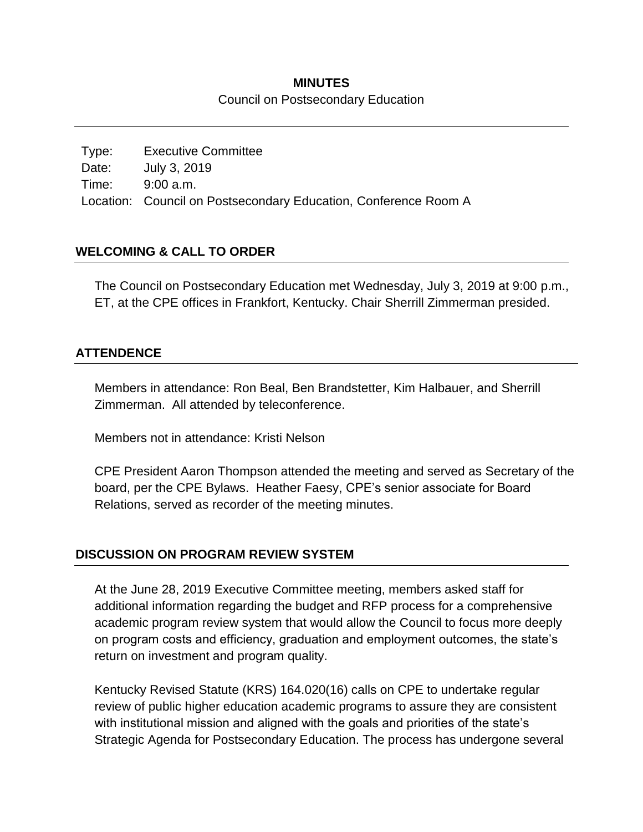## **MINUTES** Council on Postsecondary Education

Type: Executive Committee Date: July 3, 2019 Time: 9:00 a.m. Location: Council on Postsecondary Education, Conference Room A

# **WELCOMING & CALL TO ORDER**

The Council on Postsecondary Education met Wednesday, July 3, 2019 at 9:00 p.m., ET, at the CPE offices in Frankfort, Kentucky. Chair Sherrill Zimmerman presided.

## **ATTENDENCE**

Members in attendance: Ron Beal, Ben Brandstetter, Kim Halbauer, and Sherrill Zimmerman. All attended by teleconference.

Members not in attendance: Kristi Nelson

CPE President Aaron Thompson attended the meeting and served as Secretary of the board, per the CPE Bylaws. Heather Faesy, CPE's senior associate for Board Relations, served as recorder of the meeting minutes.

### **DISCUSSION ON PROGRAM REVIEW SYSTEM**

At the June 28, 2019 Executive Committee meeting, members asked staff for additional information regarding the budget and RFP process for a comprehensive academic program review system that would allow the Council to focus more deeply on program costs and efficiency, graduation and employment outcomes, the state's return on investment and program quality.

Kentucky Revised Statute (KRS) 164.020(16) calls on CPE to undertake regular review of public higher education academic programs to assure they are consistent with institutional mission and aligned with the goals and priorities of the state's Strategic Agenda for Postsecondary Education. The process has undergone several